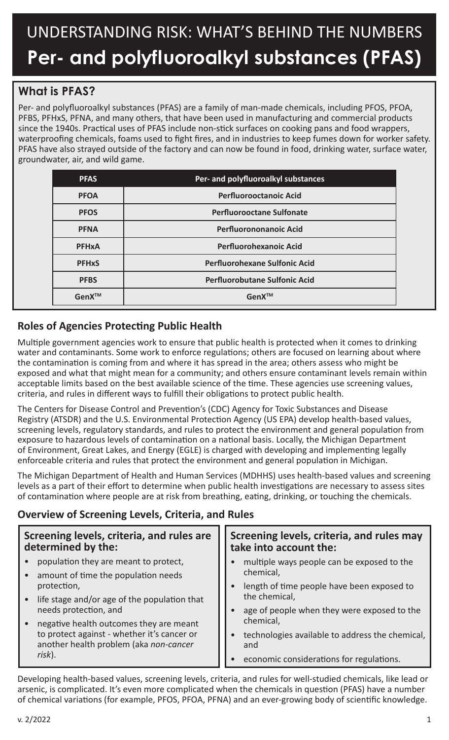# UNDERSTANDING RISK: WHAT'S BEHIND THE NUMBERS **Per- and polyfluoroalkyl substances (PFAS)**

# **What is PFAS?**

Per- and polyfluoroalkyl substances (PFAS) are a family of man-made chemicals, including PFOS, PFOA, PFBS, PFHxS, PFNA, and many others, that have been used in manufacturing and commercial products since the 1940s. Practical uses of PFAS include non-stick surfaces on cooking pans and food wrappers, waterproofing chemicals, foams used to fight fires, and in industries to keep fumes down for worker safety. PFAS have also strayed outside of the factory and can now be found in food, drinking water, surface water, groundwater, air, and wild game.

| <b>PFAS</b>             | Per- and polyfluoroalkyl substances  |
|-------------------------|--------------------------------------|
| <b>PFOA</b>             | <b>Perfluorooctanoic Acid</b>        |
| <b>PFOS</b>             | <b>Perfluorooctane Sulfonate</b>     |
| <b>PFNA</b>             | <b>Perfluorononanoic Acid</b>        |
| <b>PFHxA</b>            | <b>Perfluorohexanoic Acid</b>        |
| <b>PFH<sub>x</sub>S</b> | <b>Perfluorohexane Sulfonic Acid</b> |
| <b>PFBS</b>             | <b>Perfluorobutane Sulfonic Acid</b> |
| GenX™                   | GenX™                                |

# **Roles of Agencies Protecting Public Health**

Multiple government agencies work to ensure that public health is protected when it comes to drinking water and contaminants. Some work to enforce regulations; others are focused on learning about where the contamination is coming from and where it has spread in the area; others assess who might be exposed and what that might mean for a community; and others ensure contaminant levels remain within acceptable limits based on the best available science of the time. These agencies use screening values, criteria, and rules in different ways to fulfill their obligations to protect public health.

The Centers for Disease Control and Prevention's (CDC) Agency for Toxic Substances and Disease Registry (ATSDR) and the U.S. Environmental Protection Agency (US EPA) develop health-based values, screening levels, regulatory standards, and rules to protect the environment and general population from exposure to hazardous levels of contamination on a national basis. Locally, the Michigan Department of Environment, Great Lakes, and Energy (EGLE) is charged with developing and implementing legally enforceable criteria and rules that protect the environment and general population in Michigan.

The Michigan Department of Health and Human Services (MDHHS) uses health-based values and screening levels as a part of their effort to determine when public health investigations are necessary to assess sites of contamination where people are at risk from breathing, eating, drinking, or touching the chemicals.

# **Overview of Screening Levels, Criteria, and Rules**

| Screening levels, criteria, and rules are<br>determined by the: | Screening levels, criteria, and rules may<br>take into account the: |  |
|-----------------------------------------------------------------|---------------------------------------------------------------------|--|
| population they are meant to protect,                           | multiple ways people can be exposed to the<br>chemical,             |  |
| amount of time the population needs                             |                                                                     |  |
| protection,                                                     | length of time people have been exposed to                          |  |
| life stage and/or age of the population that<br>$\bullet$       | the chemical,                                                       |  |
| needs protection, and                                           | age of people when they were exposed to the                         |  |
| negative health outcomes they are meant                         | chemical,                                                           |  |
| to protect against - whether it's cancer or                     | technologies available to address the chemical,                     |  |
| another health problem (aka non-cancer                          | and                                                                 |  |
| risk).                                                          | economic considerations for regulations.                            |  |

Developing health-based values, screening levels, criteria, and rules for well-studied chemicals, like lead or arsenic, is complicated. It's even more complicated when the chemicals in question (PFAS) have a number of chemical variations (for example, PFOS, PFOA, PFNA) and an ever-growing body of scientific knowledge.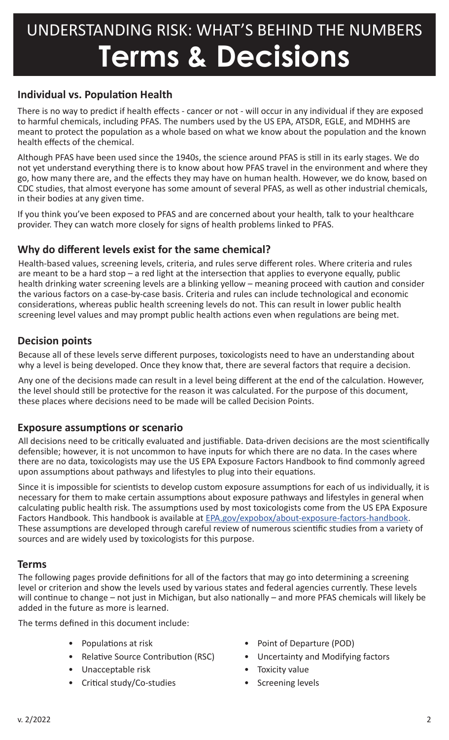### **Individual vs. Population Health**

There is no way to predict if health effects - cancer or not - will occur in any individual if they are exposed to harmful chemicals, including PFAS. The numbers used by the US EPA, ATSDR, EGLE, and MDHHS are meant to protect the population as a whole based on what we know about the population and the known health effects of the chemical.

Although PFAS have been used since the 1940s, the science around PFAS is still in its early stages. We do not yet understand everything there is to know about how PFAS travel in the environment and where they go, how many there are, and the effects they may have on human health. However, we do know, based on CDC studies, that almost everyone has some amount of several PFAS, as well as other industrial chemicals, in their bodies at any given time.

If you think you've been exposed to PFAS and are concerned about your health, talk to your healthcare provider. They can watch more closely for signs of health problems linked to PFAS.

### **Why do different levels exist for the same chemical?**

Health-based values, screening levels, criteria, and rules serve different roles. Where criteria and rules are meant to be a hard stop – a red light at the intersection that applies to everyone equally, public health drinking water screening levels are a blinking yellow – meaning proceed with caution and consider the various factors on a case-by-case basis. Criteria and rules can include technological and economic considerations, whereas public health screening levels do not. This can result in lower public health screening level values and may prompt public health actions even when regulations are being met.

### **Decision points**

Because all of these levels serve different purposes, toxicologists need to have an understanding about why a level is being developed. Once they know that, there are several factors that require a decision.

Any one of the decisions made can result in a level being different at the end of the calculation. However, the level should still be protective for the reason it was calculated. For the purpose of this document, these places where decisions need to be made will be called Decision Points.

### **Exposure assumptions or scenario**

All decisions need to be critically evaluated and justifiable. Data-driven decisions are the most scientifically defensible; however, it is not uncommon to have inputs for which there are no data. In the cases where there are no data, toxicologists may use the US EPA Exposure Factors Handbook to find commonly agreed upon assumptions about pathways and lifestyles to plug into their equations.

Since it is impossible for scientists to develop custom exposure assumptions for each of us individually, it is necessary for them to make certain assumptions about exposure pathways and lifestyles in general when calculating public health risk. The assumptions used by most toxicologists come from the US EPA Exposure Factors Handbook. This handbook is available at [EPA.gov/expobox/about-exposure-factors-handbook](http://EPA.gov/expobox/about-exposure-factors-handbook). These assumptions are developed through careful review of numerous scientific studies from a variety of sources and are widely used by toxicologists for this purpose.

### **Terms**

The following pages provide definitions for all of the factors that may go into determining a screening level or criterion and show the levels used by various states and federal agencies currently. These levels will continue to change – not just in Michigan, but also nationally – and more PFAS chemicals will likely be added in the future as more is learned.

The terms defined in this document include:

- 
- 
- Unacceptable risk Toxicity value
- Critical study/Co-studies Screening levels
- Populations at risk Point of Departure (POD)
- Relative Source Contribution (RSC) Uncertainty and Modifying factors
	-
	-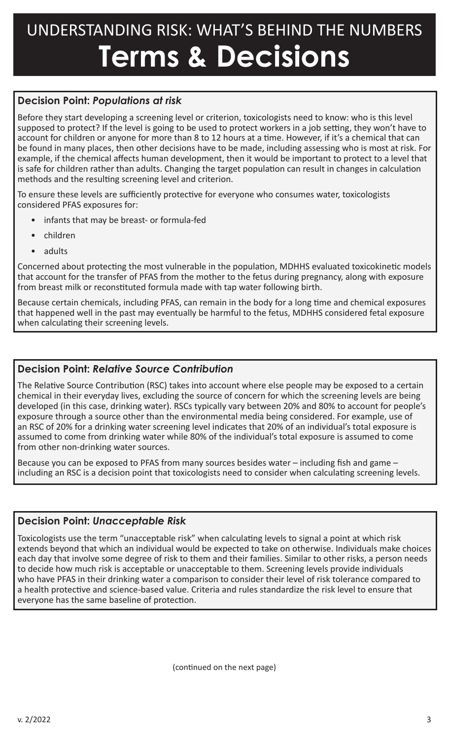# **Decision Point:** *Populations at risk*

Before they start developing a screening level or criterion, toxicologists need to know: who is this level supposed to protect? If the level is going to be used to protect workers in a job setting, they won't have to account for children or anyone for more than 8 to 12 hours at a time. However, if it's a chemical that can be found in many places, then other decisions have to be made, including assessing who is most at risk. For example, if the chemical affects human development, then it would be important to protect to a level that is safe for children rather than adults. Changing the target population can result in changes in calculation methods and the resulting screening level and criterion.

To ensure these levels are sufficiently protective for everyone who consumes water, toxicologists considered PFAS exposures for:

- infants that may be breast- or formula-fed
- children
- adults

Concerned about protecting the most vulnerable in the population, MDHHS evaluated toxicokinetic models that account for the transfer of PFAS from the mother to the fetus during pregnancy, along with exposure from breast milk or reconstituted formula made with tap water following birth.

Because certain chemicals, including PFAS, can remain in the body for a long time and chemical exposures that happened well in the past may eventually be harmful to the fetus, MDHHS considered fetal exposure when calculating their screening levels.

### **Decision Point:** *Relative Source Contribution*

The Relative Source Contribution (RSC) takes into account where else people may be exposed to a certain chemical in their everyday lives, excluding the source of concern for which the screening levels are being developed (in this case, drinking water). RSCs typically vary between 20% and 80% to account for people's exposure through a source other than the environmental media being considered. For example, use of an RSC of 20% for a drinking water screening level indicates that 20% of an individual's total exposure is assumed to come from drinking water while 80% of the individual's total exposure is assumed to come from other non-drinking water sources.

Because you can be exposed to PFAS from many sources besides water – including fish and game – including an RSC is a decision point that toxicologists need to consider when calculating screening levels.

### **Decision Point:** *Unacceptable Risk*

Toxicologists use the term "unacceptable risk" when calculating levels to signal a point at which risk extends beyond that which an individual would be expected to take on otherwise. Individuals make choices each day that involve some degree of risk to them and their families. Similar to other risks, a person needs to decide how much risk is acceptable or unacceptable to them. Screening levels provide individuals who have PFAS in their drinking water a comparison to consider their level of risk tolerance compared to a health protective and science-based value. Criteria and rules standardize the risk level to ensure that everyone has the same baseline of protection.

(continued on the next page)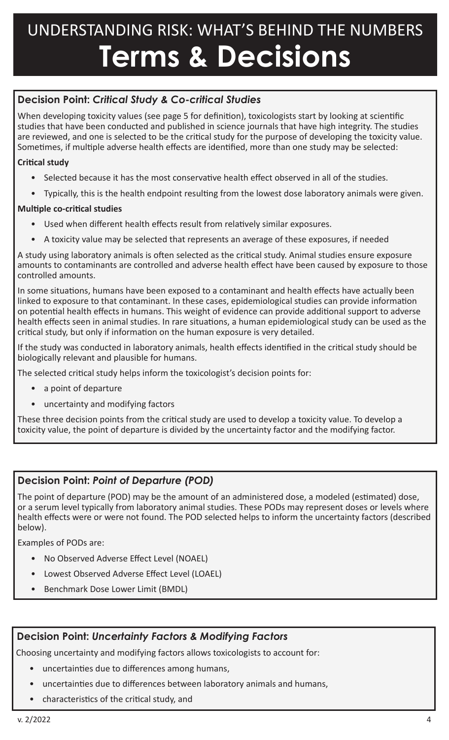# **Decision Point:** *Critical Study & Co-critical Studies*

When developing toxicity values (see page 5 for definition), toxicologists start by looking at scientific studies that have been conducted and published in science journals that have high integrity. The studies are reviewed, and one is selected to be the critical study for the purpose of developing the toxicity value. Sometimes, if multiple adverse health effects are identified, more than one study may be selected:

### **Critical study**

- Selected because it has the most conservative health effect observed in all of the studies.
- Typically, this is the health endpoint resulting from the lowest dose laboratory animals were given.

### **Multiple co-critical studies**

- Used when different health effects result from relatively similar exposures.
- A toxicity value may be selected that represents an average of these exposures, if needed

A study using laboratory animals is often selected as the critical study. Animal studies ensure exposure amounts to contaminants are controlled and adverse health effect have been caused by exposure to those controlled amounts.

In some situations, humans have been exposed to a contaminant and health effects have actually been linked to exposure to that contaminant. In these cases, epidemiological studies can provide information on potential health effects in humans. This weight of evidence can provide additional support to adverse health effects seen in animal studies. In rare situations, a human epidemiological study can be used as the critical study, but only if information on the human exposure is very detailed.

If the study was conducted in laboratory animals, health effects identified in the critical study should be biologically relevant and plausible for humans.

The selected critical study helps inform the toxicologist's decision points for:

- a point of departure
- uncertainty and modifying factors

These three decision points from the critical study are used to develop a toxicity value. To develop a toxicity value, the point of departure is divided by the uncertainty factor and the modifying factor.

# **Decision Point:** *Point of Departure (POD)*

The point of departure (POD) may be the amount of an administered dose, a modeled (estimated) dose, or a serum level typically from laboratory animal studies. These PODs may represent doses or levels where health effects were or were not found. The POD selected helps to inform the uncertainty factors (described below).

Examples of PODs are:

- No Observed Adverse Effect Level (NOAEL)
- Lowest Observed Adverse Effect Level (LOAEL)
- Benchmark Dose Lower Limit (BMDL)

# **Decision Point:** *Uncertainty Factors & Modifying Factors*

Choosing uncertainty and modifying factors allows toxicologists to account for:

- uncertainties due to differences among humans,
- uncertainties due to differences between laboratory animals and humans,
- characteristics of the critical study, and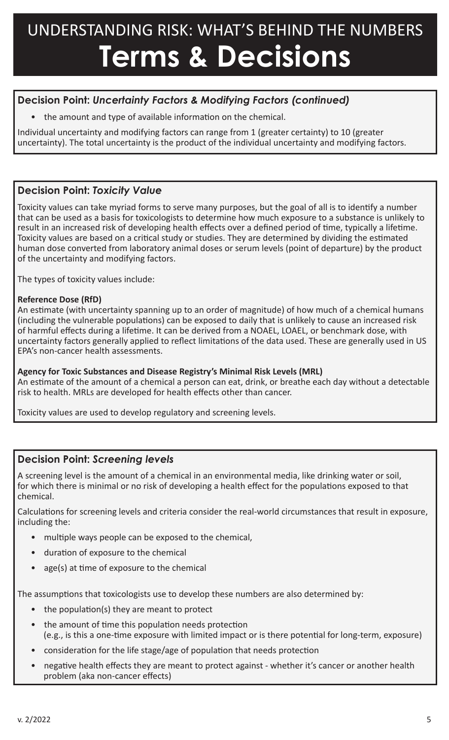# **Decision Point:** *Uncertainty Factors & Modifying Factors (continued)*

the amount and type of available information on the chemical.

Individual uncertainty and modifying factors can range from 1 (greater certainty) to 10 (greater uncertainty). The total uncertainty is the product of the individual uncertainty and modifying factors.

### **Decision Point:** *Toxicity Value*

Toxicity values can take myriad forms to serve many purposes, but the goal of all is to identify a number that can be used as a basis for toxicologists to determine how much exposure to a substance is unlikely to result in an increased risk of developing health effects over a defined period of time, typically a lifetime. Toxicity values are based on a critical study or studies. They are determined by dividing the estimated human dose converted from laboratory animal doses or serum levels (point of departure) by the product of the uncertainty and modifying factors.

The types of toxicity values include:

#### **Reference Dose (RfD)**

An estimate (with uncertainty spanning up to an order of magnitude) of how much of a chemical humans (including the vulnerable populations) can be exposed to daily that is unlikely to cause an increased risk of harmful effects during a lifetime. It can be derived from a NOAEL, LOAEL, or benchmark dose, with uncertainty factors generally applied to reflect limitations of the data used. These are generally used in US EPA's non-cancer health assessments.

#### **Agency for Toxic Substances and Disease Registry's Minimal Risk Levels (MRL)**

An estimate of the amount of a chemical a person can eat, drink, or breathe each day without a detectable risk to health. MRLs are developed for health effects other than cancer.

Toxicity values are used to develop regulatory and screening levels.

# **Decision Point:** *Screening levels*

A screening level is the amount of a chemical in an environmental media, like drinking water or soil, for which there is minimal or no risk of developing a health effect for the populations exposed to that chemical.

Calculations for screening levels and criteria consider the real-world circumstances that result in exposure, including the:

- multiple ways people can be exposed to the chemical,
- duration of exposure to the chemical
- age(s) at time of exposure to the chemical

The assumptions that toxicologists use to develop these numbers are also determined by:

- the population(s) they are meant to protect
- the amount of time this population needs protection (e.g., is this a one-time exposure with limited impact or is there potential for long-term, exposure)
- consideration for the life stage/age of population that needs protection
- negative health effects they are meant to protect against whether it's cancer or another health problem (aka non-cancer effects)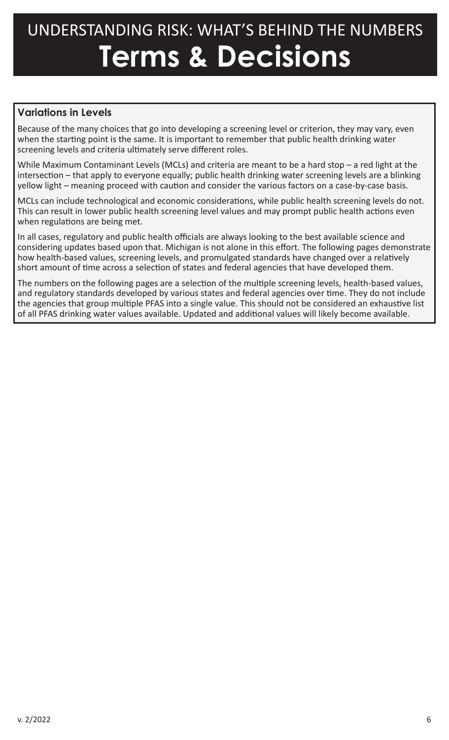# **Variations in Levels**

Because of the many choices that go into developing a screening level or criterion, they may vary, even when the starting point is the same. It is important to remember that public health drinking water screening levels and criteria ultimately serve different roles.

While Maximum Contaminant Levels (MCLs) and criteria are meant to be a hard stop – a red light at the intersection – that apply to everyone equally; public health drinking water screening levels are a blinking yellow light – meaning proceed with caution and consider the various factors on a case-by-case basis.

MCLs can include technological and economic considerations, while public health screening levels do not. This can result in lower public health screening level values and may prompt public health actions even when regulations are being met.

In all cases, regulatory and public health officials are always looking to the best available science and considering updates based upon that. Michigan is not alone in this effort. The following pages demonstrate how health-based values, screening levels, and promulgated standards have changed over a relatively short amount of time across a selection of states and federal agencies that have developed them.

The numbers on the following pages are a selection of the multiple screening levels, health-based values, and regulatory standards developed by various states and federal agencies over time. They do not include the agencies that group multiple PFAS into a single value. This should not be considered an exhaustive list of all PFAS drinking water values available. Updated and additional values will likely become available.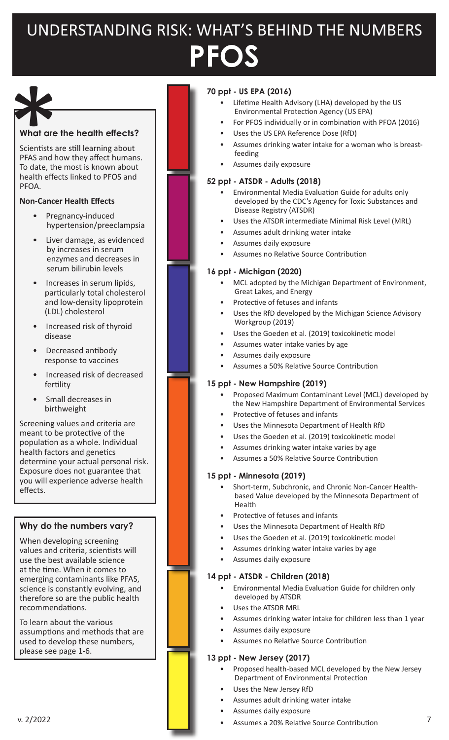# UNDERSTANDING RISK: WHAT'S BEHIND THE NUMBERS **PFOS**



#### **What are the health effects?**

Scientists are still learning about PFAS and how they affect humans. To date, the most is known about health effects linked to PFOS and PFOA.

#### **Non-Cancer Health Effects**

- Pregnancy-induced hypertension/preeclampsia
- Liver damage, as evidenced by increases in serum enzymes and decreases in serum bilirubin levels
- Increases in serum lipids, particularly total cholesterol and low-density lipoprotein (LDL) cholesterol
- Increased risk of thyroid disease
- Decreased antibody response to vaccines
- Increased risk of decreased fertility
- Small decreases in birthweight

Screening values and criteria are meant to be protective of the population as a whole. Individual health factors and genetics determine your actual personal risk. Exposure does not guarantee that you will experience adverse health effects.

#### **Why do the numbers vary?**

When developing screening values and criteria, scientists will use the best available science at the time. When it comes to emerging contaminants like PFAS, science is constantly evolving, and therefore so are the public health recommendations.

To learn about the various assumptions and methods that are used to develop these numbers, please see page 1-6.

### **70 ppt - US EPA (2016)**

- Lifetime Health Advisory (LHA) developed by the US Environmental Protection Agency (US EPA)
- For PFOS individually or in combination with PFOA (2016)
- Uses the US EPA Reference Dose (RfD)
- Assumes drinking water intake for a woman who is breastfeeding
- Assumes daily exposure

#### **52 ppt - ATSDR - Adults (2018)**

- Environmental Media Evaluation Guide for adults only developed by the CDC's Agency for Toxic Substances and Disease Registry (ATSDR)
- Uses the ATSDR intermediate Minimal Risk Level (MRL)
- Assumes adult drinking water intake
- Assumes daily exposure
- Assumes no Relative Source Contribution

#### **16 ppt - Michigan (2020)**

- MCL adopted by the Michigan Department of Environment, Great Lakes, and Energy
- Protective of fetuses and infants
- Uses the RfD developed by the Michigan Science Advisory Workgroup (2019)
- Uses the Goeden et al. (2019) toxicokinetic model
- Assumes water intake varies by age
- Assumes daily exposure
- Assumes a 50% Relative Source Contribution

#### **15 ppt - New Hampshire (2019)**

- Proposed Maximum Contaminant Level (MCL) developed by the New Hampshire Department of Environmental Services
- Protective of fetuses and infants
- Uses the Minnesota Department of Health RfD
- Uses the Goeden et al. (2019) toxicokinetic model
- Assumes drinking water intake varies by age
- Assumes a 50% Relative Source Contribution

#### **15 ppt - Minnesota (2019)**

- Short-term, Subchronic, and Chronic Non-Cancer Health based Value developed by the Minnesota Department of Health
- Protective of fetuses and infants
- Uses the Minnesota Department of Health RfD
- Uses the Goeden et al. (2019) toxicokinetic model
- Assumes drinking water intake varies by age
- Assumes daily exposure

#### **14 ppt - ATSDR - Children (2018)**

- Environmental Media Evaluation Guide for children only developed by ATSDR
- Uses the ATSDR MRL
- Assumes drinking water intake for children less than 1 year
- Assumes daily exposure
- Assumes no Relative Source Contribution

#### **13 ppt - New Jersey (2017)**

- Proposed health-based MCL developed by the New Jersey Department of Environmental Protection
- Uses the New Jersey RfD
- Assumes adult drinking water intake
- Assumes daily exposure
- v. 2/2022 **7 19 Contribution 7 19 Contribution 7 19 Contribution 7 19 Contribution 7 19 Contribution 7 19 Contribution 7 19 Contribution 7 19 Contribution 7 19 Contribution 7 19 Contri**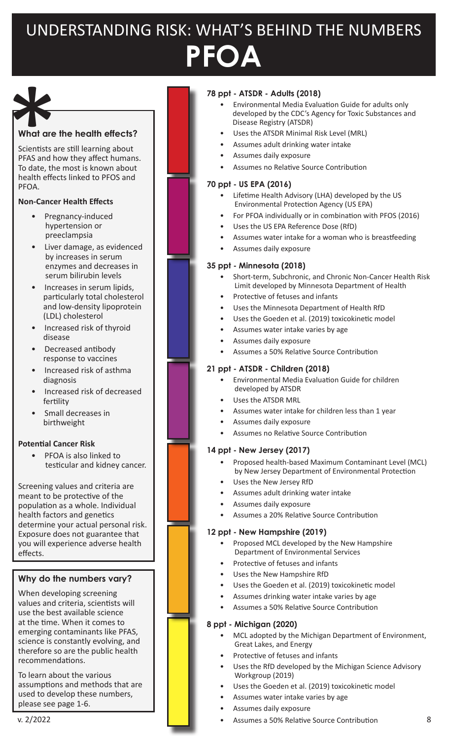# UNDERSTANDING RISK: WHAT'S BEHIND THE NUMBERS **PFOA**



#### **What are the health effects?**

Scientists are still learning about PFAS and how they affect humans. To date, the most is known about health effects linked to PFOS and PFOA.

#### **Non-Cancer Health Effects**

- Pregnancy-induced hypertension or preeclampsia
- Liver damage, as evidenced by increases in serum enzymes and decreases in serum bilirubin levels
- Increases in serum lipids, particularly total cholesterol and low-density lipoprotein (LDL) cholesterol
- Increased risk of thyroid disease
- Decreased antibody response to vaccines
- Increased risk of asthma diagnosis
- Increased risk of decreased fertility
- Small decreases in birthweight

#### **Potential Cancer Risk**

PFOA is also linked to testicular and kidney cancer.

Screening values and criteria are meant to be protective of the population as a whole. Individual health factors and genetics determine your actual personal risk. Exposure does not guarantee that you will experience adverse health effects.

#### **Why do the numbers vary?**

When developing screening values and criteria, scientists will use the best available science at the time. When it comes to emerging contaminants like PFAS, science is constantly evolving, and therefore so are the public health recommendations.

To learn about the various assumptions and methods that are used to develop these numbers, please see page 1-6.

#### **78 ppt - ATSDR - Adults (2018)**

- Environmental Media Evaluation Guide for adults only developed by the CDC's Agency for Toxic Substances and Disease Registry (ATSDR)
- Uses the ATSDR Minimal Risk Level (MRL)
- Assumes adult drinking water intake
- Assumes daily exposure
- Assumes no Relative Source Contribution

#### **70 ppt - US EPA (2016)**

- Lifetime Health Advisory (LHA) developed by the US Environmental Protection Agency (US EPA)
- For PFOA individually or in combination with PFOS (2016)
- Uses the US EPA Reference Dose (RfD)
- Assumes water intake for a woman who is breastfeeding
- Assumes daily exposure

#### **35 ppt - Minnesota (2018)**

- Short-term, Subchronic, and Chronic Non-Cancer Health Risk Limit developed by Minnesota Department of Health
- Protective of fetuses and infants
- Uses the Minnesota Department of Health RfD
- Uses the Goeden et al. (2019) toxicokinetic model
- Assumes water intake varies by age
- Assumes daily exposure
- Assumes a 50% Relative Source Contribution

#### **21 ppt - ATSDR - Children (2018)**

- Environmental Media Evaluation Guide for children developed by ATSDR
- Uses the ATSDR MRL
- Assumes water intake for children less than 1 year
- Assumes daily exposure
- Assumes no Relative Source Contribution

#### **14 ppt - New Jersey (2017)**

- Proposed health-based Maximum Contaminant Level (MCL) by New Jersey Department of Environmental Protection
- Uses the New Jersey RfD
- Assumes adult drinking water intake
- Assumes daily exposure
- Assumes a 20% Relative Source Contribution

#### **12 ppt - New Hampshire (2019)**

- Proposed MCL developed by the New Hampshire Department of Environmental Services
- Protective of fetuses and infants
- Uses the New Hampshire RfD
- Uses the Goeden et al. (2019) toxicokinetic model
- Assumes drinking water intake varies by age
- Assumes a 50% Relative Source Contribution

- MCL adopted by the Michigan Department of Environment, Great Lakes, and Energy
- Protective of fetuses and infants
- Uses the RfD developed by the Michigan Science Advisory Workgroup (2019)
- Uses the Goeden et al. (2019) toxicokinetic model
- Assumes water intake varies by age
- Assumes daily exposure
- v. 2/2022 8 Assumes a 50% Relative Source Contribution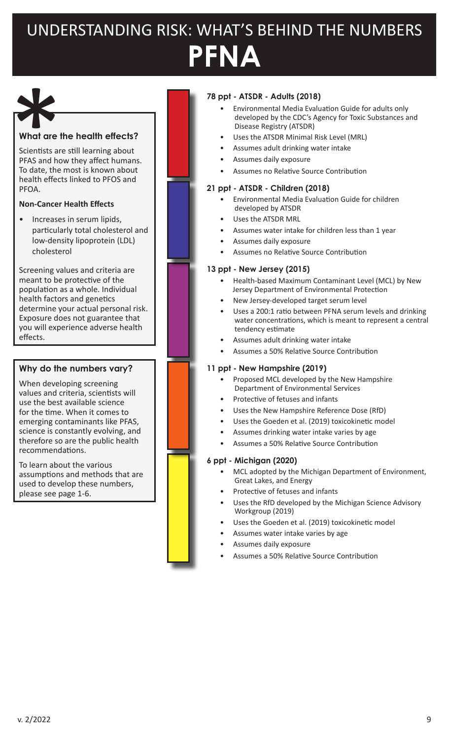# UNDERSTANDING RISK: WHAT'S BEHIND THE NUMBERS **PFNA**

#### **What are the health effects?**

Scientists are still learning about PFAS and how they affect humans. To date, the most is known about health effects linked to PFOS and PFOA. What are the<br>Scientists are<br>PFAS and ho<br>To date, the<br>health effect

#### **Non-Cancer Health Effects**

• Increases in serum lipids, particularly total cholesterol and low-density lipoprotein (LDL) cholesterol

Screening values and criteria are meant to be protective of the population as a whole. Individual health factors and genetics determine your actual personal risk. Exposure does not guarantee that you will experience adverse health effects.

#### **Why do the numbers vary?**

When developing screening values and criteria, scientists will use the best available science for the time. When it comes to emerging contaminants like PFAS, science is constantly evolving, and therefore so are the public health recommendations.

To learn about the various assumptions and methods that are used to develop these numbers, please see page 1-6.

#### **78 ppt - ATSDR - Adults (2018)**

- Environmental Media Evaluation Guide for adults only developed by the CDC's Agency for Toxic Substances and Disease Registry (ATSDR)
- Uses the ATSDR Minimal Risk Level (MRL)
- Assumes adult drinking water intake
- Assumes daily exposure
- Assumes no Relative Source Contribution

#### **21 ppt - ATSDR - Children (2018)**

- Environmental Media Evaluation Guide for children developed by ATSDR
- Uses the ATSDR MRL
- Assumes water intake for children less than 1 year
- Assumes daily exposure
- Assumes no Relative Source Contribution

#### **13 ppt - New Jersey (2015)**

- Health-based Maximum Contaminant Level (MCL) by New Jersey Department of Environmental Protection
- New Jersey-developed target serum level
- Uses a 200:1 ratio between PFNA serum levels and drinking water concentrations, which is meant to represent a central tendency estimate
- Assumes adult drinking water intake
	- Assumes a 50% Relative Source Contribution

#### **11 ppt - New Hampshire (2019)**

- Proposed MCL developed by the New Hampshire Department of Environmental Services
- Protective of fetuses and infants
- Uses the New Hampshire Reference Dose (RfD)
- Uses the Goeden et al. (2019) toxicokinetic model
- Assumes drinking water intake varies by age
- Assumes a 50% Relative Source Contribution

- MCL adopted by the Michigan Department of Environment, Great Lakes, and Energy
- Protective of fetuses and infants
- Uses the RfD developed by the Michigan Science Advisory Workgroup (2019)
- Uses the Goeden et al. (2019) toxicokinetic model
- Assumes water intake varies by age
- Assumes daily exposure
- Assumes a 50% Relative Source Contribution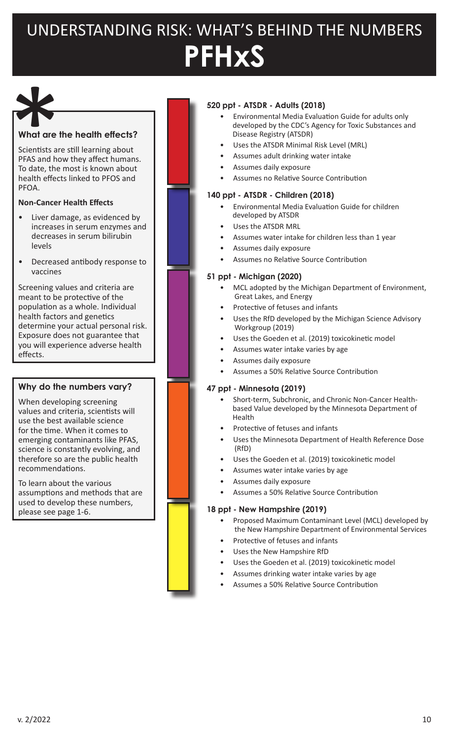# UNDERSTANDING RISK: WHAT'S BEHIND THE NUMBERS **PFHxS**

#### **What are the health effects?**

Scientists are still learning about PFAS and how they affect humans. To date, the most is known about health effects linked to PFOS and PFOA. What are the<br>Scientists are<br>PFAS and home<br>To date, the<br>health effect

#### **Non-Cancer Health Effects**

- Liver damage, as evidenced by increases in serum enzymes and decreases in serum bilirubin levels
- Decreased antibody response to vaccines

Screening values and criteria are meant to be protective of the population as a whole. Individual health factors and genetics determine your actual personal risk. Exposure does not guarantee that you will experience adverse health effects.

#### **Why do the numbers vary?**

When developing screening values and criteria, scientists will use the best available science for the time. When it comes to emerging contaminants like PFAS, science is constantly evolving, and therefore so are the public health recommendations.

To learn about the various assumptions and methods that are used to develop these numbers, please see page 1-6.

#### **520 ppt - ATSDR - Adults (2018)**

- Environmental Media Evaluation Guide for adults only developed by the CDC's Agency for Toxic Substances and Disease Registry (ATSDR)
- Uses the ATSDR Minimal Risk Level (MRL)
- Assumes adult drinking water intake
- Assumes daily exposure
- Assumes no Relative Source Contribution

#### **140 ppt - ATSDR - Children (2018)**

- Environmental Media Evaluation Guide for children developed by ATSDR
- Uses the ATSDR MRL
- Assumes water intake for children less than 1 year
- Assumes daily exposure
- Assumes no Relative Source Contribution

#### **51 ppt - Michigan (2020)**

- MCL adopted by the Michigan Department of Environment, Great Lakes, and Energy
- Protective of fetuses and infants
- Uses the RfD developed by the Michigan Science Advisory Workgroup (2019)
- Uses the Goeden et al. (2019) toxicokinetic model
- Assumes water intake varies by age
- Assumes daily exposure
- Assumes a 50% Relative Source Contribution

#### **47 ppt - Minnesota (2019)**

- Short-term, Subchronic, and Chronic Non-Cancer Health based Value developed by the Minnesota Department of Health
- Protective of fetuses and infants
- Uses the Minnesota Department of Health Reference Dose (RfD)
- Uses the Goeden et al. (2019) toxicokinetic model
- Assumes water intake varies by age
- Assumes daily exposure
- Assumes a 50% Relative Source Contribution

#### **18 ppt - New Hampshire (2019)**

- Proposed Maximum Contaminant Level (MCL) developed by the New Hampshire Department of Environmental Services
- Protective of fetuses and infants
- Uses the New Hampshire RfD
- Uses the Goeden et al. (2019) toxicokinetic model
- Assumes drinking water intake varies by age
- Assumes a 50% Relative Source Contribution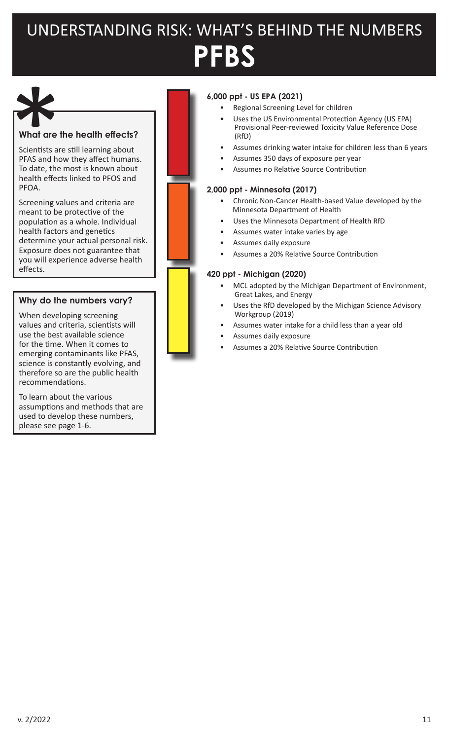# UNDERSTANDING RISK: WHAT'S BEHIND THE NUMBERS **PFBS**

#### **What are the health effects?**

Scientists are still learning about PFAS and how they affect humans. To date, the most is known about health effects linked to PFOS and PFOA. What are the<br>Scientists are<br>PFAS and ho<br>To date, the<br>health effect

Screening values and criteria are meant to be protective of the population as a whole. Individual health factors and genetics determine your actual personal risk. Exposure does not guarantee that you will experience adverse health effects.

#### **Why do the numbers vary?**

When developing screening values and criteria, scientists will use the best available science for the time. When it comes to emerging contaminants like PFAS, science is constantly evolving, and therefore so are the public health recommendations.

To learn about the various assumptions and methods that are used to develop these numbers, please see page 1-6.

### **6,000 ppt - US EPA (2021)**

- Regional Screening Level for children
- Uses the US Environmental Protection Agency (US EPA) Provisional Peer-reviewed Toxicity Value Reference Dose (RfD)
- Assumes drinking water intake for children less than 6 years
- Assumes 350 days of exposure per year
- Assumes no Relative Source Contribution

#### **2,000 ppt - Minnesota (2017)**

- Chronic Non-Cancer Health-based Value developed by the Minnesota Department of Health
- Uses the Minnesota Department of Health RfD
- Assumes water intake varies by age
- Assumes daily exposure
- Assumes a 20% Relative Source Contribution

- MCL adopted by the Michigan Department of Environment, Great Lakes, and Energy
- Uses the RfD developed by the Michigan Science Advisory Workgroup (2019)
- Assumes water intake for a child less than a year old
- Assumes daily exposure
- Assumes a 20% Relative Source Contribution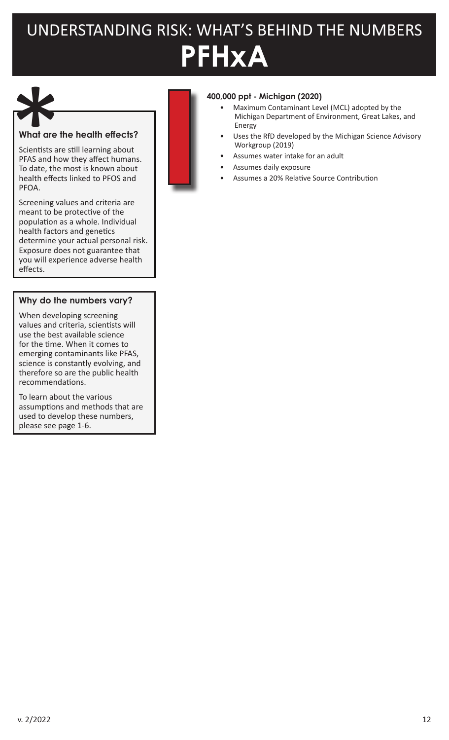# UNDERSTANDING RISK: WHAT'S BEHIND THE NUMBERS **PFHxA**

#### **What are the health effects?**

Scientists are still learning about PFAS and how they affect humans. To date, the most is known about health effects linked to PFOS and PFOA. What are the<br>Scientists are<br>PFAS and ho<br>To date, the<br>health effect

Screening values and criteria are meant to be protective of the population as a whole. Individual health factors and genetics determine your actual personal risk. Exposure does not guarantee that you will experience adverse health effects.

#### **Why do the numbers vary?**

When developing screening values and criteria, scientists will use the best available science for the time. When it comes to emerging contaminants like PFAS, science is constantly evolving, and therefore so are the public health recommendations.

To learn about the various assumptions and methods that are used to develop these numbers, please see page 1-6.



#### **400,000 ppt - Michigan (2020)**

- Maximum Contaminant Level (MCL) adopted by the Michigan Department of Environment, Great Lakes, and Energy
- Uses the RfD developed by the Michigan Science Advisory Workgroup (2019)
- Assumes water intake for an adult
- Assumes daily exposure
- Assumes a 20% Relative Source Contribution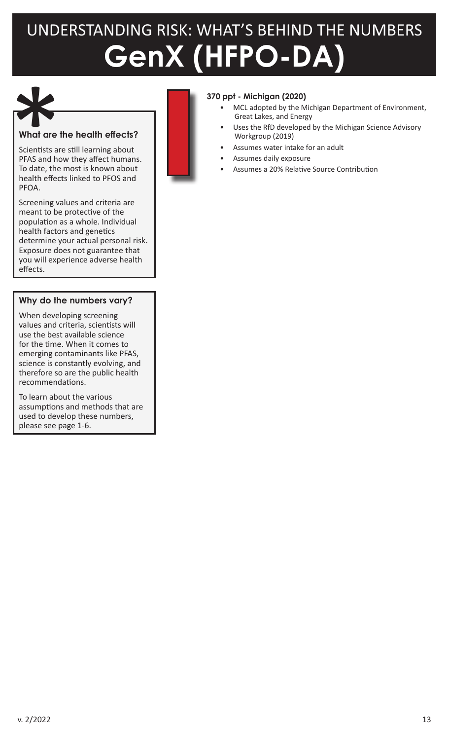# UNDERSTANDING RISK: WHAT'S BEHIND THE NUMBERS **GenX (HFPO-DA)**



### **What are the health effects?**

Scientists are still learning about PFAS and how they affect humans. To date, the most is known about health effects linked to PFOS and PFOA. What are the<br>Scientists are<br>PFAS and ho<br>To date, the<br>health effect

Screening values and criteria are meant to be protective of the population as a whole. Individual health factors and genetics determine your actual personal risk. Exposure does not guarantee that you will experience adverse health effects.

#### **Why do the numbers vary?**

When developing screening values and criteria, scientists will use the best available science for the time. When it comes to emerging contaminants like PFAS, science is constantly evolving, and therefore so are the public health recommendations.

To learn about the various assumptions and methods that are used to develop these numbers, please see page 1-6.



- MCL adopted by the Michigan Department of Environment, Great Lakes, and Energy
- Uses the RfD developed by the Michigan Science Advisory Workgroup (2019)
- Assumes water intake for an adult
- Assumes daily exposure
- Assumes a 20% Relative Source Contribution